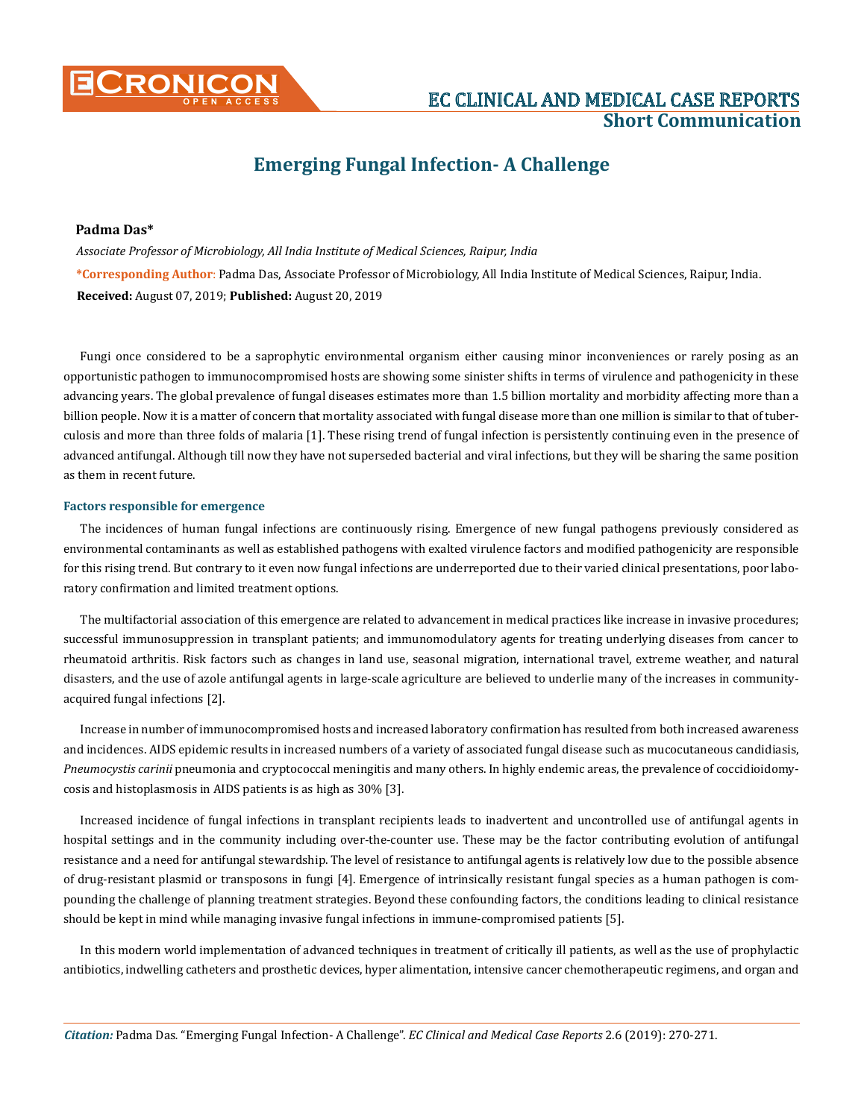

# **Short Communication**

## **Emerging Fungal Infection- A Challenge**

#### **Padma Das\***

*Associate Professor of Microbiology, All India Institute of Medical Sciences, Raipur, India*  **\*Corresponding Author**: Padma Das, Associate Professor of Microbiology, All India Institute of Medical Sciences, Raipur, India. **Received:** August 07, 2019; **Published:** August 20, 2019

Fungi once considered to be a saprophytic environmental organism either causing minor inconveniences or rarely posing as an opportunistic pathogen to immunocompromised hosts are showing some sinister shifts in terms of virulence and pathogenicity in these advancing years. The global prevalence of fungal diseases estimates more than 1.5 billion mortality and morbidity affecting more than a billion people. Now it is a matter of concern that mortality associated with fungal disease more than one million is similar to that of tuberculosis and more than three folds of malaria [1]. These rising trend of fungal infection is persistently continuing even in the presence of advanced antifungal. Although till now they have not superseded bacterial and viral infections, but they will be sharing the same position as them in recent future.

#### **Factors responsible for emergence**

The incidences of human fungal infections are continuously rising. Emergence of new fungal pathogens previously considered as environmental contaminants as well as established pathogens with exalted virulence factors and modified pathogenicity are responsible for this rising trend. But contrary to it even now fungal infections are underreported due to their varied clinical presentations, poor laboratory confirmation and limited treatment options.

The multifactorial association of this emergence are related to advancement in medical practices like increase in invasive procedures; successful immunosuppression in transplant patients; and immunomodulatory agents for treating underlying diseases from cancer to rheumatoid arthritis. Risk factors such as changes in land use, seasonal migration, international travel, extreme weather, and natural disasters, and the use of azole antifungal agents in large-scale agriculture are believed to underlie many of the increases in communityacquired fungal infections [2].

Increase in number of immunocompromised hosts and increased laboratory confirmation has resulted from both increased awareness and incidences. AIDS epidemic results in increased numbers of a variety of associated fungal disease such as mucocutaneous candidiasis, *Pneumocystis carinii* pneumonia and cryptococcal meningitis and many others. In highly endemic areas, the prevalence of coccidioidomycosis and histoplasmosis in AIDS patients is as high as 30% [3].

Increased incidence of fungal infections in transplant recipients leads to inadvertent and uncontrolled use of antifungal agents in hospital settings and in the community including over-the-counter use. These may be the factor contributing evolution of antifungal resistance and a need for antifungal stewardship. The level of resistance to antifungal agents is relatively low due to the possible absence of drug-resistant plasmid or transposons in fungi [4]. Emergence of intrinsically resistant fungal species as a human pathogen is compounding the challenge of planning treatment strategies. Beyond these confounding factors, the conditions leading to clinical resistance should be kept in mind while managing invasive fungal infections in immune-compromised patients [5].

In this modern world implementation of advanced techniques in treatment of critically ill patients, as well as the use of prophylactic antibiotics, indwelling catheters and prosthetic devices, hyper alimentation, intensive cancer chemotherapeutic regimens, and organ and